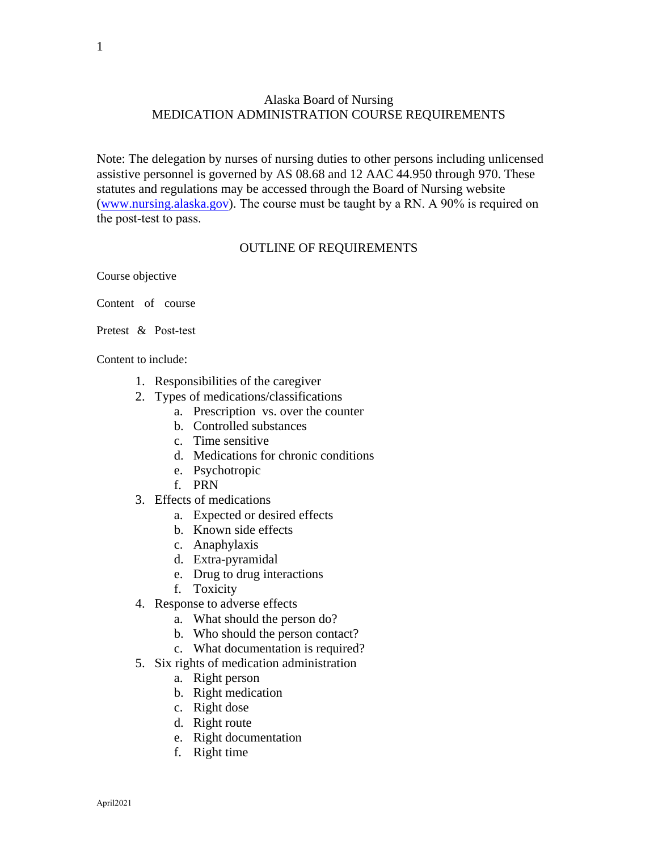## Alaska Board of Nursing MEDICATION ADMINISTRATION COURSE REQUIREMENTS

Note: The delegation by nurses of nursing duties to other persons including unlicensed assistive personnel is governed by AS 08.68 and 12 AAC 44.950 through 970. These statutes and regulations may be accessed through the Board of Nursing website (www.nursing.alaska.gov). The course must be taught by a RN. A 90% is required on the post-test to pass.

## OUTLINE OF REQUIREMENTS

Course objective

- Content of course
- Pretest & Post-test

Content to include:

- 1. Responsibilities of the caregiver
- 2. Types of medications/classifications
	- a. Prescription vs. over the counter
	- b. Controlled substances
	- c. Time sensitive
	- d. Medications for chronic conditions
	- e. Psychotropic
	- f. PRN
- 3. Effects of medications
	- a. Expected or desired effects
	- b. Known side effects
	- c. Anaphylaxis
	- d. Extra-pyramidal
	- e. Drug to drug interactions
	- f. Toxicity
- 4. Response to adverse effects
	- a. What should the person do?
	- b. Who should the person contact?
	- c. What documentation is required?
- 5. Six rights of medication administration
	- a. Right person
	- b. Right medication
	- c. Right dose
	- d. Right route
	- e. Right documentation
	- f. Right time